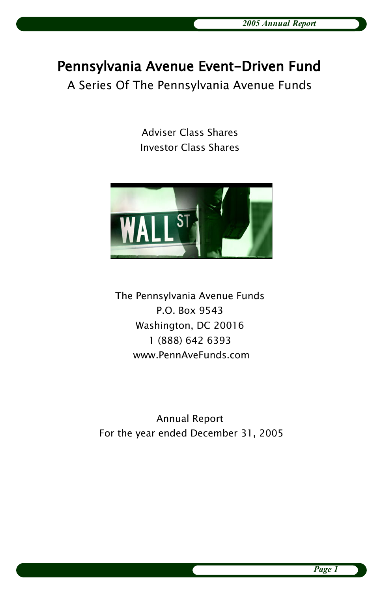# Pennsylvania Avenue Event-Driven Fund

A Series Of The Pennsylvania Avenue Funds

Adviser Class Shares Investor Class Shares



The Pennsylvania Avenue Funds P.O. Box 9543 Washington, DC 20016 1 (888) 642 6393 www.PennAveFunds.com

Annual Report For the year ended December 31, 2005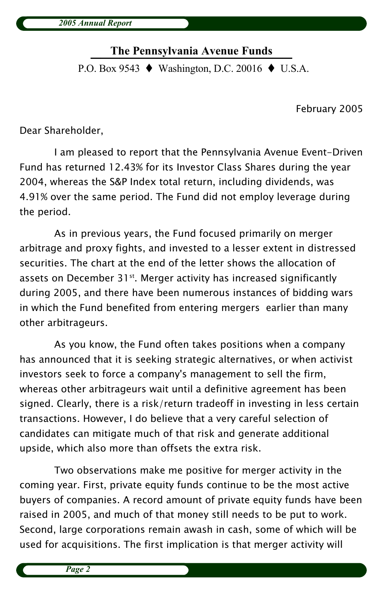**The Pennsylvania Avenue Funds** THE PEHRSYPHING TYPERIC PURIS

P.O. Box 9543  $\blacklozenge$  Washington, D.C. 20016  $\blacklozenge$  U.S.A.

February 2005

Dear Shareholder,

I am pleased to report that the Pennsylvania Avenue Event-Driven Fund has returned 12.43% for its Investor Class Shares during the year 2004, whereas the S&P Index total return, including dividends, was 4.91% over the same period. The Fund did not employ leverage during the period.

As in previous years, the Fund focused primarily on merger arbitrage and proxy fights, and invested to a lesser extent in distressed securities. The chart at the end of the letter shows the allocation of assets on December 31st. Merger activity has increased significantly during 2005, and there have been numerous instances of bidding wars in which the Fund benefited from entering mergers earlier than many other arbitrageurs.

As you know, the Fund often takes positions when a company has announced that it is seeking strategic alternatives, or when activist investors seek to force a company's management to sell the firm, whereas other arbitrageurs wait until a definitive agreement has been signed. Clearly, there is a risk/return tradeoff in investing in less certain transactions. However, I do believe that a very careful selection of candidates can mitigate much of that risk and generate additional upside, which also more than offsets the extra risk.

Two observations make me positive for merger activity in the coming year. First, private equity funds continue to be the most active buyers of companies. A record amount of private equity funds have been raised in 2005, and much of that money still needs to be put to work. Second, large corporations remain awash in cash, some of which will be used for acquisitions. The first implication is that merger activity will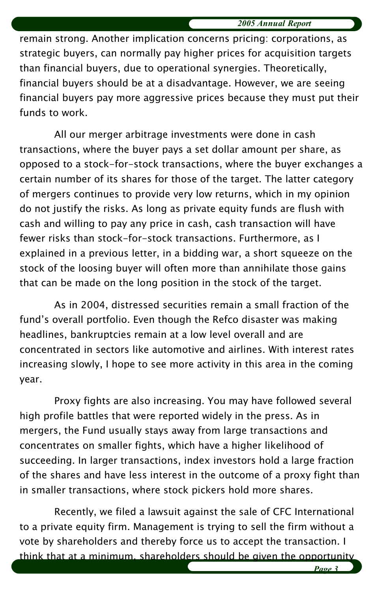*2005 Annual Report*

remain strong. Another implication concerns pricing: corporations, as strategic buyers, can normally pay higher prices for acquisition targets than financial buyers, due to operational synergies. Theoretically, financial buyers should be at a disadvantage. However, we are seeing financial buyers pay more aggressive prices because they must put their funds to work.

All our merger arbitrage investments were done in cash transactions, where the buyer pays a set dollar amount per share, as opposed to a stock-for-stock transactions, where the buyer exchanges a certain number of its shares for those of the target. The latter category of mergers continues to provide very low returns, which in my opinion do not justify the risks. As long as private equity funds are flush with cash and willing to pay any price in cash, cash transaction will have fewer risks than stock-for-stock transactions. Furthermore, as I explained in a previous letter, in a bidding war, a short squeeze on the stock of the loosing buyer will often more than annihilate those gains that can be made on the long position in the stock of the target.

As in 2004, distressed securities remain a small fraction of the fund's overall portfolio. Even though the Refco disaster was making headlines, bankruptcies remain at a low level overall and are concentrated in sectors like automotive and airlines. With interest rates increasing slowly, I hope to see more activity in this area in the coming year.

Proxy fights are also increasing. You may have followed several high profile battles that were reported widely in the press. As in mergers, the Fund usually stays away from large transactions and concentrates on smaller fights, which have a higher likelihood of succeeding. In larger transactions, index investors hold a large fraction of the shares and have less interest in the outcome of a proxy fight than in smaller transactions, where stock pickers hold more shares.

Recently, we filed a lawsuit against the sale of CFC International to a private equity firm. Management is trying to sell the firm without a vote by shareholders and thereby force us to accept the transaction. I think that at a minimum, shareholders should be given the opportunity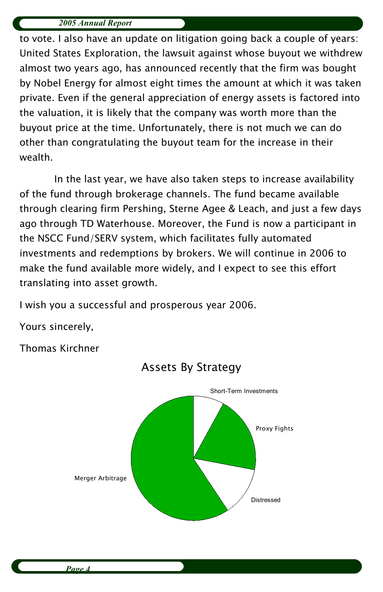to vote. I also have an update on litigation going back a couple of years: United States Exploration, the lawsuit against whose buyout we withdrew almost two years ago, has announced recently that the firm was bought by Nobel Energy for almost eight times the amount at which it was taken private. Even if the general appreciation of energy assets is factored into the valuation, it is likely that the company was worth more than the buyout price at the time. Unfortunately, there is not much we can do other than congratulating the buyout team for the increase in their wealth.

In the last year, we have also taken steps to increase availability of the fund through brokerage channels. The fund became available through clearing firm Pershing, Sterne Agee & Leach, and just a few days ago through TD Waterhouse. Moreover, the Fund is now a participant in the NSCC Fund/SERV system, which facilitates fully automated investments and redemptions by brokers. We will continue in 2006 to make the fund available more widely, and I expect to see this effort translating into asset growth.

I wish you a successful and prosperous year 2006.

Yours sincerely,

Thomas Kirchner



Assets By Strategy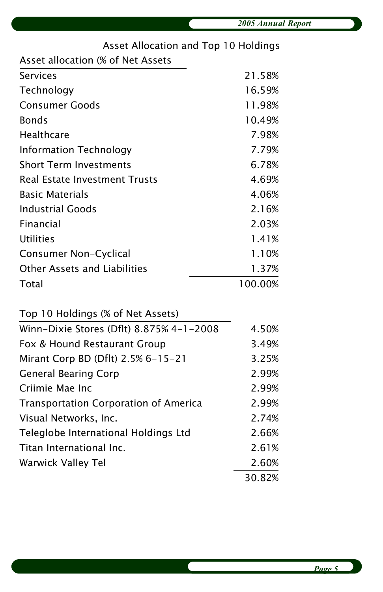| Asset allocation (% of Net Assets            |         |
|----------------------------------------------|---------|
| <b>Services</b>                              | 21.58%  |
| Technology                                   | 16.59%  |
| <b>Consumer Goods</b>                        | 11.98%  |
| <b>Bonds</b>                                 | 10.49%  |
| Healthcare                                   | 7.98%   |
| <b>Information Technology</b>                | 7.79%   |
| <b>Short Term Investments</b>                | 6.78%   |
| <b>Real Estate Investment Trusts</b>         | 4.69%   |
| <b>Basic Materials</b>                       | 4.06%   |
| <b>Industrial Goods</b>                      | 2.16%   |
| Financial                                    | 2.03%   |
| <b>Utilities</b>                             | 1.41%   |
| Consumer Non-Cyclical                        | 1.10%   |
| <b>Other Assets and Liabilities</b>          | 1.37%   |
| <b>Total</b>                                 | 100.00% |
| Top 10 Holdings (% of Net Assets)            |         |
| Winn-Dixie Stores (Dflt) 8.875% 4-1-2008     | 4.50%   |
| Fox & Hound Restaurant Group                 | 3.49%   |
| Mirant Corp BD (Dflt) 2.5% 6-15-21           | 3.25%   |
| <b>General Bearing Corp</b>                  | 2.99%   |
| Criimie Mae Inc                              | 2.99%   |
| <b>Transportation Corporation of America</b> | 2.99%   |
| Visual Networks, Inc.                        | 2.74%   |
| Teleglobe International Holdings Ltd         | 2.66%   |
| Titan International Inc.                     | 2.61%   |
| Warwick Valley Tel                           | 2.60%   |
|                                              | 30.82%  |

### Asset Allocation and Top 10 Holdings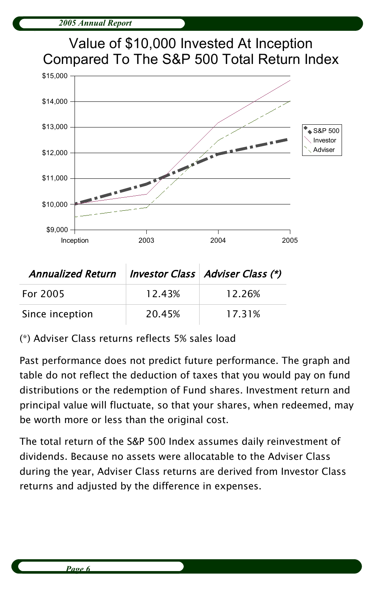

| Annualized Return   Investor Class   Adviser Class (*) |        |        |
|--------------------------------------------------------|--------|--------|
| For 2005                                               | 12.43% | 12.26% |
| Since inception                                        | 20.45% | 17.31% |

(\*) Adviser Class returns reflects 5% sales load

Past performance does not predict future performance. The graph and table do not reflect the deduction of taxes that you would pay on fund distributions or the redemption of Fund shares. Investment return and principal value will fluctuate, so that your shares, when redeemed, may be worth more or less than the original cost.

The total return of the S&P 500 Index assumes daily reinvestment of dividends. Because no assets were allocatable to the Adviser Class during the year, Adviser Class returns are derived from Investor Class returns and adjusted by the difference in expenses.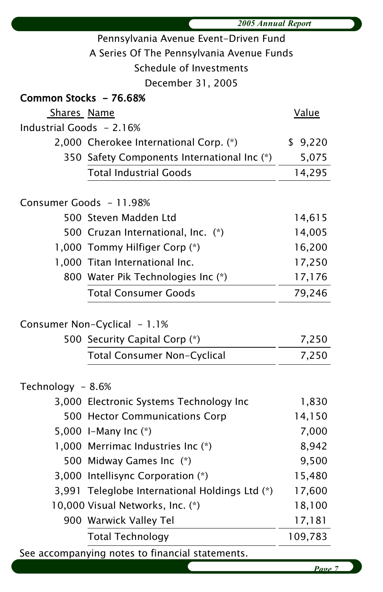| 2005 Annual Report                    |                                                 |              |  |
|---------------------------------------|-------------------------------------------------|--------------|--|
| Pennsylvania Avenue Event-Driven Fund |                                                 |              |  |
|                                       | A Series Of The Pennsylvania Avenue Funds       |              |  |
|                                       | Schedule of Investments                         |              |  |
|                                       | December 31, 2005                               |              |  |
| Common Stocks - 76.68%                |                                                 |              |  |
| <b>Shares</b> Name                    |                                                 | <u>Value</u> |  |
| Industrial Goods - 2.16%              |                                                 |              |  |
|                                       | 2,000 Cherokee International Corp. (*)          | \$9,220      |  |
|                                       | 350 Safety Components International Inc (*)     | 5,075        |  |
|                                       | <b>Total Industrial Goods</b>                   | 14,295       |  |
|                                       |                                                 |              |  |
|                                       | Consumer Goods - 11.98%                         |              |  |
|                                       | 500 Steven Madden Ltd                           | 14,615       |  |
|                                       | 500 Cruzan International, Inc. (*)              | 14,005       |  |
|                                       | 1,000 Tommy Hilfiger Corp (*)                   | 16,200       |  |
|                                       | 1,000 Titan International Inc.                  | 17,250       |  |
|                                       | 800 Water Pik Technologies Inc (*)              | 17,176       |  |
|                                       | <b>Total Consumer Goods</b>                     | 79,246       |  |
|                                       | Consumer Non-Cyclical - 1.1%                    |              |  |
|                                       | 500 Security Capital Corp (*)                   | 7,250        |  |
|                                       |                                                 |              |  |
|                                       | Total Consumer Non-Cyclical                     | 7,250        |  |
| Technology - 8.6%                     |                                                 |              |  |
|                                       | 3,000 Electronic Systems Technology Inc         | 1,830        |  |
|                                       | 500 Hector Communications Corp                  | 14,150       |  |
|                                       | 5,000 I-Many Inc $(*)$                          | 7,000        |  |
|                                       | 1,000 Merrimac Industries Inc (*)               | 8,942        |  |
|                                       | 500 Midway Games Inc (*)                        | 9,500        |  |
|                                       | 3,000 Intellisync Corporation (*)               | 15,480       |  |
|                                       | 3,991 Teleglobe International Holdings Ltd (*)  | 17,600       |  |
|                                       | 10,000 Visual Networks, Inc. (*)                | 18,100       |  |
|                                       | 900 Warwick Valley Tel                          | 17,181       |  |
|                                       | <b>Total Technology</b>                         | 109,783      |  |
|                                       | See accompanying notes to financial statements. |              |  |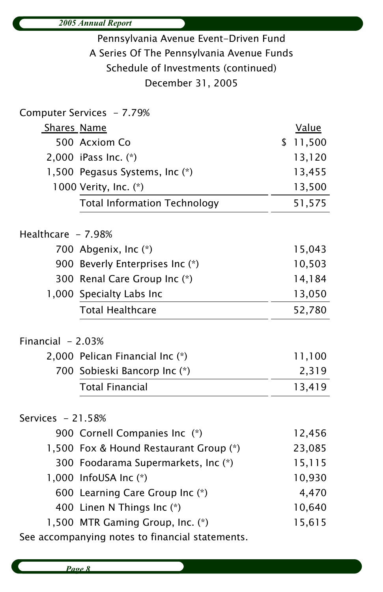|                                                 | <b>2005 Annual Report</b>                 |              |  |
|-------------------------------------------------|-------------------------------------------|--------------|--|
| Pennsylvania Avenue Event-Driven Fund           |                                           |              |  |
|                                                 | A Series Of The Pennsylvania Avenue Funds |              |  |
|                                                 | Schedule of Investments (continued)       |              |  |
|                                                 | December 31, 2005                         |              |  |
|                                                 |                                           |              |  |
|                                                 | Computer Services - 7.79%                 |              |  |
| <b>Shares Name</b>                              |                                           | <b>Value</b> |  |
|                                                 | 500 Acxiom Co                             | 11,500<br>\$ |  |
|                                                 | 2,000 iPass Inc. (*)                      | 13,120       |  |
|                                                 | 1,500 Pegasus Systems, Inc (*)            | 13,455       |  |
|                                                 | 1000 Verity, Inc. (*)                     | 13,500       |  |
|                                                 | <b>Total Information Technology</b>       | 51,575       |  |
|                                                 |                                           |              |  |
| Healthcare - 7.98%                              |                                           |              |  |
|                                                 | 700 Abgenix, Inc (*)                      | 15,043       |  |
|                                                 | 900 Beverly Enterprises Inc (*)           | 10,503       |  |
|                                                 | 300 Renal Care Group Inc (*)              | 14,184       |  |
|                                                 | 1,000 Specialty Labs Inc                  | 13,050       |  |
|                                                 | <b>Total Healthcare</b>                   | 52,780       |  |
|                                                 |                                           |              |  |
| Financial $-2.03%$                              |                                           |              |  |
|                                                 | 2,000 Pelican Financial Inc (*)           | 11,100       |  |
|                                                 | 700 Sobieski Bancorp Inc (*)              | 2,319        |  |
|                                                 | <b>Total Financial</b>                    | 13,419       |  |
|                                                 |                                           |              |  |
| Services $-21.58%$                              |                                           |              |  |
|                                                 | 900 Cornell Companies Inc (*)             | 12,456       |  |
|                                                 | 1,500 Fox & Hound Restaurant Group (*)    | 23,085       |  |
|                                                 | 300 Foodarama Supermarkets, Inc (*)       | 15,115       |  |
|                                                 | 1,000 InfoUSA Inc (*)                     | 10,930       |  |
|                                                 | 600 Learning Care Group Inc (*)           | 4,470        |  |
|                                                 | 400 Linen N Things Inc (*)                | 10,640       |  |
|                                                 | 1,500 MTR Gaming Group, Inc. (*)          | 15,615       |  |
| See accompanying notes to financial statements. |                                           |              |  |

 $\overline{\phantom{a}}$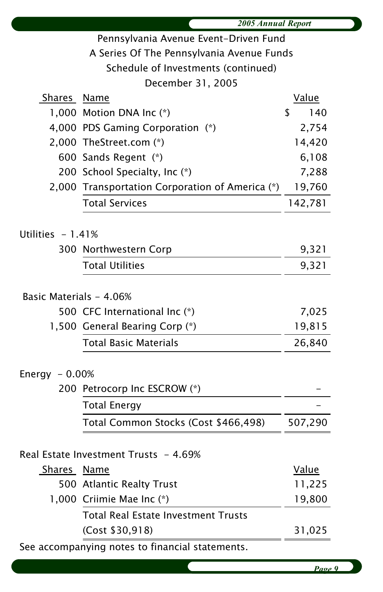|                                       | 2005 Annual Report                              |              |  |  |
|---------------------------------------|-------------------------------------------------|--------------|--|--|
| Pennsylvania Avenue Event-Driven Fund |                                                 |              |  |  |
|                                       | A Series Of The Pennsylvania Avenue Funds       |              |  |  |
|                                       | Schedule of Investments (continued)             |              |  |  |
|                                       | December 31, 2005                               |              |  |  |
| Shares Name                           |                                                 | <u>Value</u> |  |  |
|                                       | 1,000 Motion DNA Inc (*)                        | \$<br>140    |  |  |
|                                       | 4,000 PDS Gaming Corporation (*)                | 2,754        |  |  |
|                                       | 2,000 TheStreet.com (*)                         | 14,420       |  |  |
|                                       | 600 Sands Regent (*)                            | 6,108        |  |  |
|                                       | 200 School Specialty, Inc (*)                   | 7,288        |  |  |
|                                       | 2,000 Transportation Corporation of America (*) | 19,760       |  |  |
|                                       | <b>Total Services</b>                           | 142,781      |  |  |
| Utilities $-1.41%$                    |                                                 |              |  |  |
|                                       | 300 Northwestern Corp                           | 9,321        |  |  |
|                                       | <b>Total Utilities</b>                          | 9,321        |  |  |
| Basic Materials - 4.06%               |                                                 |              |  |  |
|                                       | 500 CFC International Inc (*)                   | 7,025        |  |  |
|                                       | 1,500 General Bearing Corp (*)                  | 19,815       |  |  |
|                                       | <b>Total Basic Materials</b>                    | 26,840       |  |  |
|                                       |                                                 |              |  |  |
| Energy $-0.00\%$                      | 200 Petrocorp Inc ESCROW (*)                    |              |  |  |
|                                       |                                                 |              |  |  |
|                                       | Total Energy                                    |              |  |  |
|                                       | Total Common Stocks (Cost \$466,498)            | 507,290      |  |  |
|                                       | Real Estate Investment Trusts - 4.69%           |              |  |  |
| Shares Name                           |                                                 | Value        |  |  |
|                                       | 500 Atlantic Realty Trust                       | 11,225       |  |  |
|                                       | 1,000 Criimie Mae Inc (*)                       | 19,800       |  |  |
|                                       | <b>Total Real Estate Investment Trusts</b>      |              |  |  |
|                                       | (Cost \$30,918)                                 | 31,025       |  |  |
|                                       | See accompanying notes to financial statements. |              |  |  |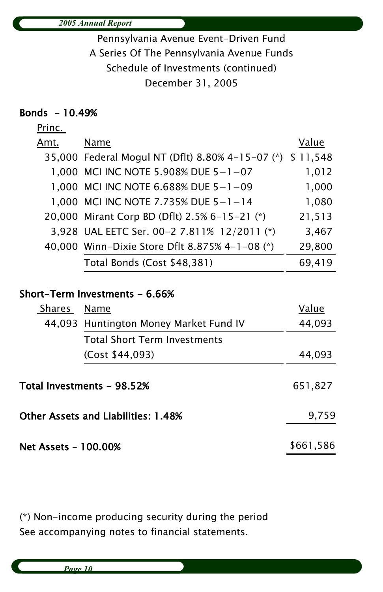Pennsylvania Avenue Event-Driven Fund A Series Of The Pennsylvania Avenue Funds Schedule of Investments (continued) December 31, 2005

### Bonds - 10.49%

Princ.

| .    |                                                  |          |
|------|--------------------------------------------------|----------|
| Amt. | Name                                             | Value    |
|      | 35,000 Federal Mogul NT (Dflt) 8.80% 4-15-07 (*) | \$11,548 |
|      | 1,000 MCI INC NOTE 5.908% DUE 5-1-07             | 1,012    |
|      | 1,000 MCI INC NOTE 6.688% DUE 5-1-09             | 1,000    |
|      | 1,000 MCI INC NOTE 7.735% DUE 5-1-14             | 1,080    |
|      | 20,000 Mirant Corp BD (Dflt) 2.5% 6-15-21 (*)    | 21,513   |
|      | 3,928 UAL EETC Ser. 00-2 7.811% 12/2011 (*)      | 3,467    |
|      | 40,000 Winn-Dixie Store Dflt 8.875% 4-1-08 (*)   | 29,800   |
|      | Total Bonds (Cost \$48,381)                      | 69.419   |

### Short-Term Investments - 6.66%

| Shares                     | Name                                   | Value     |
|----------------------------|----------------------------------------|-----------|
|                            | 44,093 Huntington Money Market Fund IV | 44,093    |
|                            | Total Short Term Investments           |           |
|                            | (Cost \$44,093)                        | 44,093    |
| Total Investments – 98.52% |                                        | 651,827   |
|                            | Other Assets and Liabilities: 1.48%    | 9,759     |
| Net Assets - 100.00%       |                                        | \$661,586 |

(\*) Non-income producing security during the period See accompanying notes to financial statements.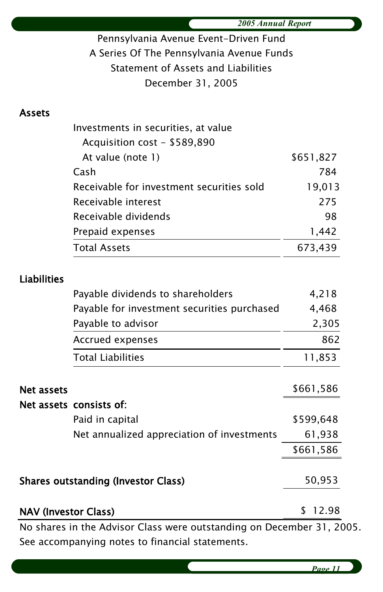|                             | 2005 Annual Report                                                    |           |  |  |
|-----------------------------|-----------------------------------------------------------------------|-----------|--|--|
|                             | Pennsylvania Avenue Event-Driven Fund                                 |           |  |  |
|                             | A Series Of The Pennsylvania Avenue Funds                             |           |  |  |
|                             | <b>Statement of Assets and Liabilities</b>                            |           |  |  |
|                             | December 31, 2005                                                     |           |  |  |
|                             |                                                                       |           |  |  |
| Assets                      |                                                                       |           |  |  |
|                             | Investments in securities, at value                                   |           |  |  |
|                             | Acquisition cost - \$589,890                                          |           |  |  |
|                             | At value (note 1)                                                     | \$651,827 |  |  |
|                             | Cash                                                                  | 784       |  |  |
|                             | Receivable for investment securities sold                             | 19,013    |  |  |
|                             | Receivable interest                                                   | 275       |  |  |
|                             | Receivable dividends                                                  | 98        |  |  |
|                             | Prepaid expenses                                                      | 1,442     |  |  |
|                             | <b>Total Assets</b>                                                   | 673,439   |  |  |
| Liabilities                 |                                                                       |           |  |  |
|                             | Payable dividends to shareholders                                     | 4,218     |  |  |
|                             | Payable for investment securities purchased                           | 4,468     |  |  |
|                             | Payable to advisor                                                    | 2,305     |  |  |
|                             | Accrued expenses                                                      | 862       |  |  |
|                             | <b>Total Liabilities</b>                                              | 11,853    |  |  |
|                             |                                                                       |           |  |  |
| Net assets                  |                                                                       | \$661,586 |  |  |
|                             | Net assets consists of:                                               |           |  |  |
|                             | Paid in capital                                                       | \$599,648 |  |  |
|                             | Net annualized appreciation of investments                            | 61,938    |  |  |
|                             |                                                                       | \$661,586 |  |  |
|                             | <b>Shares outstanding (Investor Class)</b>                            | 50,953    |  |  |
| <b>NAV (Investor Class)</b> |                                                                       | \$12.98   |  |  |
|                             | No shares in the Advisor Class were outstanding on December 31, 2005. |           |  |  |
|                             | See accompanying notes to financial statements.                       |           |  |  |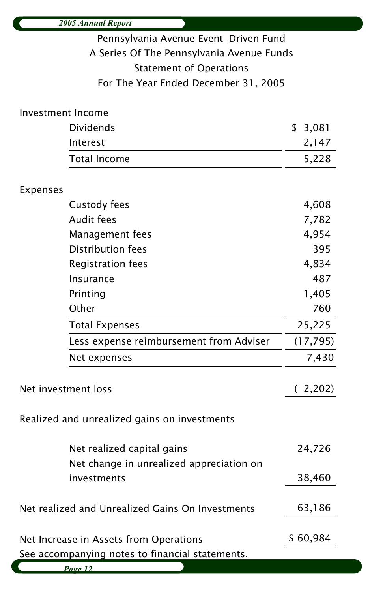| <b>2005 Annual Report</b>             |                                                  |           |  |
|---------------------------------------|--------------------------------------------------|-----------|--|
| Pennsylvania Avenue Event-Driven Fund |                                                  |           |  |
|                                       | A Series Of The Pennsylvania Avenue Funds        |           |  |
|                                       | <b>Statement of Operations</b>                   |           |  |
|                                       | For The Year Ended December 31, 2005             |           |  |
|                                       |                                                  |           |  |
|                                       | Investment Income                                |           |  |
|                                       | <b>Dividends</b>                                 | \$3,081   |  |
|                                       | Interest                                         | 2,147     |  |
|                                       | <b>Total Income</b>                              | 5,228     |  |
| Expenses                              |                                                  |           |  |
|                                       | Custody fees                                     | 4,608     |  |
|                                       | <b>Audit fees</b>                                | 7,782     |  |
|                                       | Management fees                                  | 4,954     |  |
|                                       | <b>Distribution fees</b>                         | 395       |  |
|                                       | Registration fees                                | 4,834     |  |
|                                       | Insurance                                        | 487       |  |
|                                       | Printing                                         | 1,405     |  |
|                                       | Other                                            | 760       |  |
|                                       | <b>Total Expenses</b>                            | 25,225    |  |
|                                       | Less expense reimbursement from Adviser          | (17, 795) |  |
|                                       | Net expenses                                     | 7,430     |  |
|                                       |                                                  |           |  |
|                                       | Net investment loss                              | (2,202)   |  |
|                                       | Realized and unrealized gains on investments     |           |  |
|                                       | Net realized capital gains                       | 24,726    |  |
|                                       | Net change in unrealized appreciation on         |           |  |
|                                       | investments                                      | 38,460    |  |
|                                       | Net realized and Unrealized Gains On Investments | 63,186    |  |
|                                       | Net Increase in Assets from Operations           | \$60,984  |  |
|                                       | See accompanying notes to financial statements.  |           |  |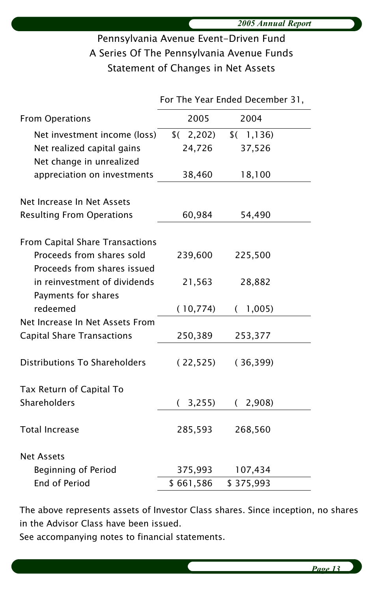## Pennsylvania Avenue Event-Driven Fund A Series Of The Pennsylvania Avenue Funds Statement of Changes in Net Assets

|                                      | For The Year Ended December 31, |            |  |
|--------------------------------------|---------------------------------|------------|--|
| <b>From Operations</b>               | 2005                            | 2004       |  |
| Net investment income (loss)         | 2,202)<br>\$(                   | (1, 136)   |  |
| Net realized capital gains           | 24,726                          | 37,526     |  |
| Net change in unrealized             |                                 |            |  |
| appreciation on investments          | 38,460                          | 18,100     |  |
| Net Increase In Net Assets           |                                 |            |  |
| <b>Resulting From Operations</b>     | 60,984                          | 54,490     |  |
|                                      |                                 |            |  |
| From Capital Share Transactions      |                                 |            |  |
| Proceeds from shares sold            | 239,600                         | 225,500    |  |
| Proceeds from shares issued          |                                 |            |  |
| in reinvestment of dividends         | 21,563                          | 28,882     |  |
| Payments for shares                  |                                 |            |  |
| redeemed                             | (10, 774)                       | 1,005<br>( |  |
| Net Increase In Net Assets From      |                                 |            |  |
| <b>Capital Share Transactions</b>    | 250,389                         | 253,377    |  |
| <b>Distributions To Shareholders</b> | (22, 525)                       | (36, 399)  |  |
|                                      |                                 |            |  |
| Tax Return of Capital To             |                                 |            |  |
| Shareholders                         | 3,255<br>$\left($               | (2,908)    |  |
|                                      |                                 |            |  |
| <b>Total Increase</b>                | 285,593                         | 268,560    |  |
| <b>Net Assets</b>                    |                                 |            |  |
| <b>Beginning of Period</b>           | 375,993                         | 107,434    |  |
| End of Period                        | \$661,586                       | \$375,993  |  |

The above represents assets of Investor Class shares. Since inception, no shares in the Advisor Class have been issued.

See accompanying notes to financial statements.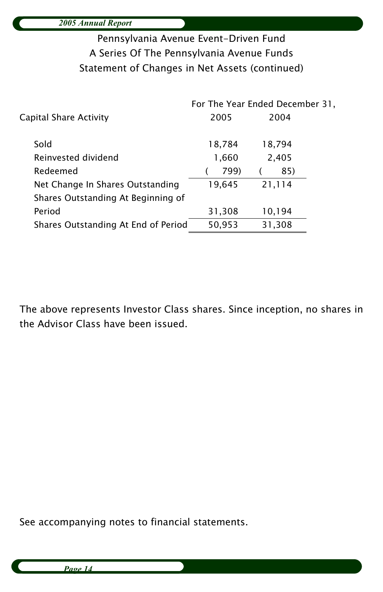## Pennsylvania Avenue Event-Driven Fund A Series Of The Pennsylvania Avenue Funds Statement of Changes in Net Assets (continued)

|                                     | For The Year Ended December 31, |        |  |
|-------------------------------------|---------------------------------|--------|--|
| Capital Share Activity              | 2005                            | 2004   |  |
| Sold                                | 18,784                          | 18,794 |  |
| Reinvested dividend                 | 1,660                           | 2,405  |  |
| Redeemed                            | 799)                            | 85)    |  |
| Net Change In Shares Outstanding    | 19,645                          | 21,114 |  |
| Shares Outstanding At Beginning of  |                                 |        |  |
| Period                              | 31,308                          | 10,194 |  |
| Shares Outstanding At End of Period | 50,953                          | 31,308 |  |
|                                     |                                 |        |  |

The above represents Investor Class shares. Since inception, no shares in the Advisor Class have been issued.

See accompanying notes to financial statements.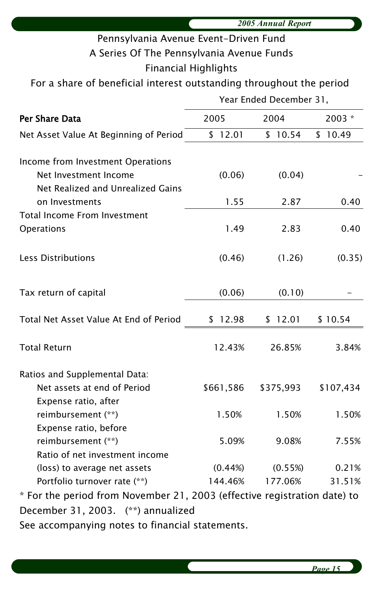|                                                                          | 2005 Annual Report          |                         |           |  |
|--------------------------------------------------------------------------|-----------------------------|-------------------------|-----------|--|
| Pennsylvania Avenue Event-Driven Fund                                    |                             |                         |           |  |
| A Series Of The Pennsylvania Avenue Funds                                |                             |                         |           |  |
|                                                                          | <b>Financial Highlights</b> |                         |           |  |
| For a share of beneficial interest outstanding throughout the period     |                             |                         |           |  |
|                                                                          |                             | Year Ended December 31, |           |  |
| Per Share Data                                                           | 2005                        | 2004                    | $2003 *$  |  |
|                                                                          |                             |                         |           |  |
| Net Asset Value At Beginning of Period                                   | \$12.01                     | \$10.54                 | \$10.49   |  |
| Income from Investment Operations                                        |                             |                         |           |  |
| Net Investment Income                                                    | (0.06)                      | (0.04)                  |           |  |
| Net Realized and Unrealized Gains                                        |                             |                         |           |  |
| on Investments                                                           | 1.55                        | 2.87                    | 0.40      |  |
| Total Income From Investment                                             |                             |                         |           |  |
| Operations                                                               | 1.49                        | 2.83                    | 0.40      |  |
| Less Distributions                                                       | (0.46)                      | (1.26)                  | (0.35)    |  |
| Tax return of capital                                                    |                             |                         |           |  |
|                                                                          | (0.06)                      | (0.10)                  |           |  |
| Total Net Asset Value At End of Period                                   | \$12.98                     | \$ 12.01                | \$10.54   |  |
| <b>Total Return</b>                                                      | 12.43%                      | 26.85%                  | 3.84%     |  |
| Ratios and Supplemental Data:                                            |                             |                         |           |  |
| Net assets at end of Period                                              | \$661,586                   | \$375,993               | \$107,434 |  |
| Expense ratio, after                                                     |                             |                         |           |  |
| reimbursement (**)                                                       | 1.50%                       | 1.50%                   | 1.50%     |  |
| Expense ratio, before                                                    |                             |                         |           |  |
| reimbursement (**)                                                       | 5.09%                       | 9.08%                   | 7.55%     |  |
| Ratio of net investment income                                           |                             |                         |           |  |
| (loss) to average net assets                                             | (0.44%)                     | (0.55%)                 | 0.21%     |  |
| Portfolio turnover rate (**)                                             | 144.46%                     | 177.06%                 | 31.51%    |  |
| * For the period from November 21, 2003 (effective registration date) to |                             |                         |           |  |
| December 31, 2003. (**) annualized                                       |                             |                         |           |  |

See accompanying notes to financial statements.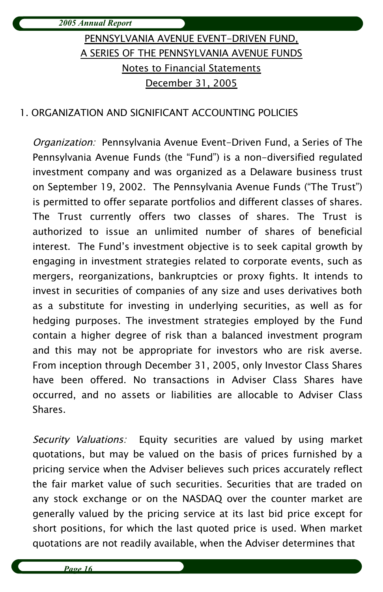## PENNSYLVANIA AVENUE EVENT-DRIVEN FUND, A SERIES OF THE PENNSYLVANIA AVENUE FUNDS Notes to Financial Statements December 31, 2005

### 1. ORGANIZATION AND SIGNIFICANT ACCOUNTING POLICIES

Organization: Pennsylvania Avenue Event-Driven Fund, a Series of The Pennsylvania Avenue Funds (the "Fund") is a non-diversified regulated investment company and was organized as a Delaware business trust on September 19, 2002. The Pennsylvania Avenue Funds ("The Trust") is permitted to offer separate portfolios and different classes of shares. The Trust currently offers two classes of shares. The Trust is authorized to issue an unlimited number of shares of beneficial interest. The Fund's investment objective is to seek capital growth by engaging in investment strategies related to corporate events, such as mergers, reorganizations, bankruptcies or proxy fights. It intends to invest in securities of companies of any size and uses derivatives both as a substitute for investing in underlying securities, as well as for hedging purposes. The investment strategies employed by the Fund contain a higher degree of risk than a balanced investment program and this may not be appropriate for investors who are risk averse. From inception through December 31, 2005, only Investor Class Shares have been offered. No transactions in Adviser Class Shares have occurred, and no assets or liabilities are allocable to Adviser Class Shares.

Security Valuations: Equity securities are valued by using market quotations, but may be valued on the basis of prices furnished by a pricing service when the Adviser believes such prices accurately reflect the fair market value of such securities. Securities that are traded on any stock exchange or on the NASDAQ over the counter market are generally valued by the pricing service at its last bid price except for short positions, for which the last quoted price is used. When market quotations are not readily available, when the Adviser determines that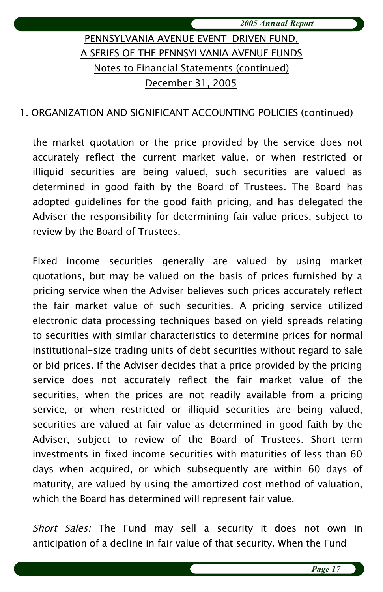*2005 Annual Report*

## PENNSYLVANIA AVENUE EVENT-DRIVEN FUND, A SERIES OF THE PENNSYLVANIA AVENUE FUNDS Notes to Financial Statements (continued) December 31, 2005

### 1. ORGANIZATION AND SIGNIFICANT ACCOUNTING POLICIES (continued)

the market quotation or the price provided by the service does not accurately reflect the current market value, or when restricted or illiquid securities are being valued, such securities are valued as determined in good faith by the Board of Trustees. The Board has adopted guidelines for the good faith pricing, and has delegated the Adviser the responsibility for determining fair value prices, subject to review by the Board of Trustees.

Fixed income securities generally are valued by using market quotations, but may be valued on the basis of prices furnished by a pricing service when the Adviser believes such prices accurately reflect the fair market value of such securities. A pricing service utilized electronic data processing techniques based on yield spreads relating to securities with similar characteristics to determine prices for normal institutional-size trading units of debt securities without regard to sale or bid prices. If the Adviser decides that a price provided by the pricing service does not accurately reflect the fair market value of the securities, when the prices are not readily available from a pricing service, or when restricted or illiquid securities are being valued, securities are valued at fair value as determined in good faith by the Adviser, subject to review of the Board of Trustees. Short-term investments in fixed income securities with maturities of less than 60 days when acquired, or which subsequently are within 60 days of maturity, are valued by using the amortized cost method of valuation, which the Board has determined will represent fair value.

Short Sales: The Fund may sell a security it does not own in anticipation of a decline in fair value of that security. When the Fund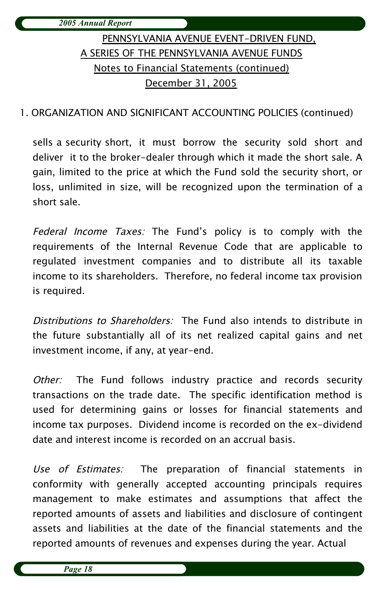| 2005 Annual Report |  |
|--------------------|--|
|--------------------|--|

## PENNSYLVANIA AVENUE EVENT-DRIVEN FUND, A SERIES OF THE PENNSYLVANIA AVENUE FUNDS Notes to Financial Statements (continued) December 31, 2005

### 1. ORGANIZATION AND SIGNIFICANT ACCOUNTING POLICIES (continued)

sells a security short, it must borrow the security sold short and deliver it to the broker-dealer through which it made the short sale. A gain, limited to the price at which the Fund sold the security short, or loss, unlimited in size, will be recognized upon the termination of a short sale.

Federal Income Taxes: The Fund's policy is to comply with the requirements of the Internal Revenue Code that are applicable to regulated investment companies and to distribute all its taxable income to its shareholders. Therefore, no federal income tax provision is required.

Distributions to Shareholders: The Fund also intends to distribute in the future substantially all of its net realized capital gains and net investment income, if any, at year-end.

Other: The Fund follows industry practice and records security transactions on the trade date. The specific identification method is used for determining gains or losses for financial statements and income tax purposes. Dividend income is recorded on the ex-dividend date and interest income is recorded on an accrual basis.

Use of Estimates: The preparation of financial statements in conformity with generally accepted accounting principals requires management to make estimates and assumptions that affect the reported amounts of assets and liabilities and disclosure of contingent assets and liabilities at the date of the financial statements and the reported amounts of revenues and expenses during the year. Actual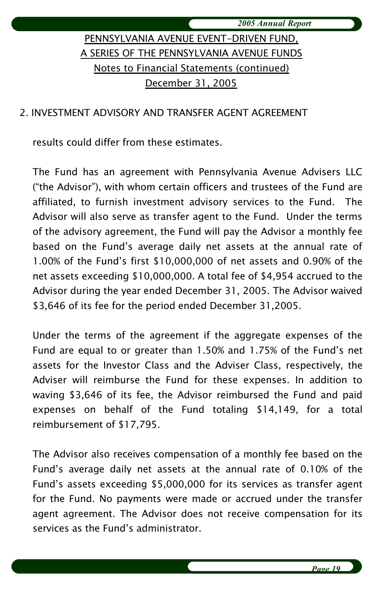*2005 Annual Report*

## PENNSYLVANIA AVENUE EVENT-DRIVEN FUND, A SERIES OF THE PENNSYLVANIA AVENUE FUNDS Notes to Financial Statements (continued) December 31, 2005

### 2. INVESTMENT ADVISORY AND TRANSFER AGENT AGREEMENT

results could differ from these estimates.

The Fund has an agreement with Pennsylvania Avenue Advisers LLC ("the Advisor"), with whom certain officers and trustees of the Fund are affiliated, to furnish investment advisory services to the Fund. The Advisor will also serve as transfer agent to the Fund. Under the terms of the advisory agreement, the Fund will pay the Advisor a monthly fee based on the Fund's average daily net assets at the annual rate of 1.00% of the Fund's first \$10,000,000 of net assets and 0.90% of the net assets exceeding \$10,000,000. A total fee of \$4,954 accrued to the Advisor during the year ended December 31, 2005. The Advisor waived \$3,646 of its fee for the period ended December 31,2005.

Under the terms of the agreement if the aggregate expenses of the Fund are equal to or greater than 1.50% and 1.75% of the Fund's net assets for the Investor Class and the Adviser Class, respectively, the Adviser will reimburse the Fund for these expenses. In addition to waving \$3,646 of its fee, the Advisor reimbursed the Fund and paid expenses on behalf of the Fund totaling \$14,149, for a total reimbursement of \$17,795.

The Advisor also receives compensation of a monthly fee based on the Fund's average daily net assets at the annual rate of 0.10% of the Fund's assets exceeding \$5,000,000 for its services as transfer agent for the Fund. No payments were made or accrued under the transfer agent agreement. The Advisor does not receive compensation for its services as the Fund's administrator.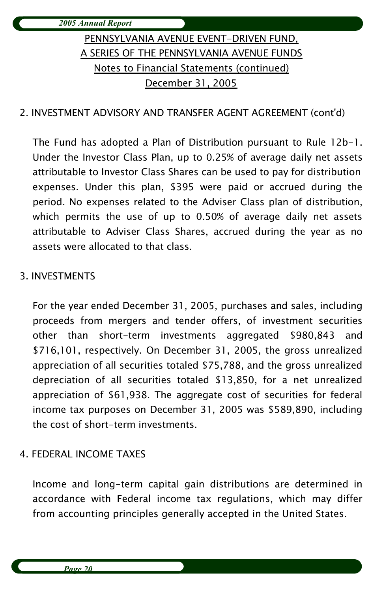| 2005 Annual Report |
|--------------------|
|--------------------|

## PENNSYLVANIA AVENUE EVENT-DRIVEN FUND, A SERIES OF THE PENNSYLVANIA AVENUE FUNDS Notes to Financial Statements (continued) December 31, 2005

### 2. INVESTMENT ADVISORY AND TRANSFER AGENT AGREEMENT (cont'd)

The Fund has adopted a Plan of Distribution pursuant to Rule 12b-1. Under the Investor Class Plan, up to 0.25% of average daily net assets attributable to Investor Class Shares can be used to pay for distribution expenses. Under this plan, \$395 were paid or accrued during the period. No expenses related to the Adviser Class plan of distribution, which permits the use of up to 0.50% of average daily net assets attributable to Adviser Class Shares, accrued during the year as no assets were allocated to that class.

### 3. INVESTMENTS

For the year ended December 31, 2005, purchases and sales, including proceeds from mergers and tender offers, of investment securities other than short-term investments aggregated \$980,843 and \$716,101, respectively. On December 31, 2005, the gross unrealized appreciation of all securities totaled \$75,788, and the gross unrealized depreciation of all securities totaled \$13,850, for a net unrealized appreciation of \$61,938. The aggregate cost of securities for federal income tax purposes on December 31, 2005 was \$589,890, including the cost of short-term investments.

#### 4. FEDERAL INCOME TAXES

Income and long-term capital gain distributions are determined in accordance with Federal income tax regulations, which may differ from accounting principles generally accepted in the United States.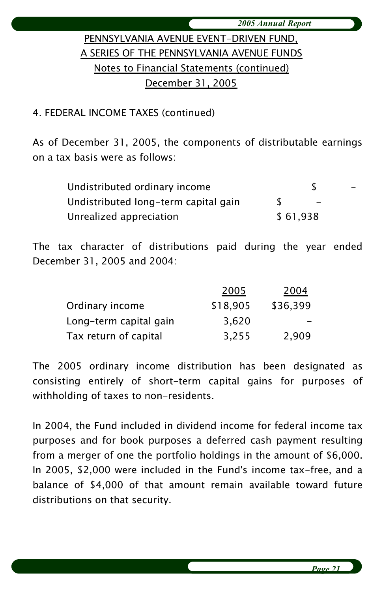*2005 Annual Report*

## PENNSYLVANIA AVENUE EVENT-DRIVEN FUND, A SERIES OF THE PENNSYLVANIA AVENUE FUNDS Notes to Financial Statements (continued) December 31, 2005

#### 4. FEDERAL INCOME TAXES (continued)

As of December 31, 2005, the components of distributable earnings on a tax basis were as follows:

| Undistributed ordinary income        |          |  |
|--------------------------------------|----------|--|
| Undistributed long-term capital gain |          |  |
| Unrealized appreciation              | \$61,938 |  |

The tax character of distributions paid during the year ended December 31, 2005 and 2004:

|                        | 2005     | 2004     |
|------------------------|----------|----------|
| Ordinary income        | \$18,905 | \$36,399 |
| Long-term capital gain | 3.620    |          |
| Tax return of capital  | 3,255    | 2.909    |

The 2005 ordinary income distribution has been designated as consisting entirely of short-term capital gains for purposes of withholding of taxes to non-residents.

In 2004, the Fund included in dividend income for federal income tax purposes and for book purposes a deferred cash payment resulting from a merger of one the portfolio holdings in the amount of \$6,000. In 2005, \$2,000 were included in the Fund's income tax-free, and a balance of \$4,000 of that amount remain available toward future distributions on that security.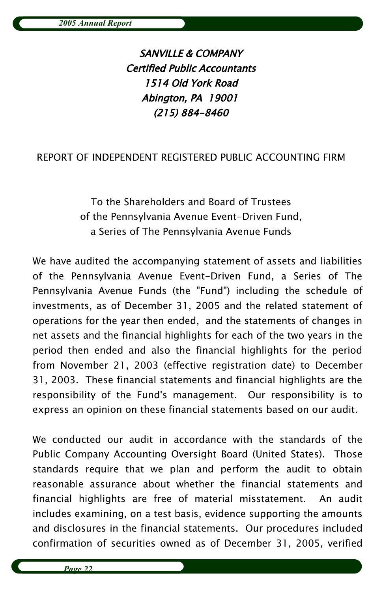SANVILLE & COMPANY Certified Public Accountants 1514 Old York Road Abington, PA 19001 (215) 884-8460

#### REPORT OF INDEPENDENT REGISTERED PUBLIC ACCOUNTING FIRM

To the Shareholders and Board of Trustees of the Pennsylvania Avenue Event-Driven Fund, a Series of The Pennsylvania Avenue Funds

We have audited the accompanying statement of assets and liabilities of the Pennsylvania Avenue Event-Driven Fund, a Series of The Pennsylvania Avenue Funds (the "Fund") including the schedule of investments, as of December 31, 2005 and the related statement of operations for the year then ended, and the statements of changes in net assets and the financial highlights for each of the two years in the period then ended and also the financial highlights for the period from November 21, 2003 (effective registration date) to December 31, 2003. These financial statements and financial highlights are the responsibility of the Fund's management. Our responsibility is to express an opinion on these financial statements based on our audit.

We conducted our audit in accordance with the standards of the Public Company Accounting Oversight Board (United States). Those standards require that we plan and perform the audit to obtain reasonable assurance about whether the financial statements and financial highlights are free of material misstatement. An audit includes examining, on a test basis, evidence supporting the amounts and disclosures in the financial statements. Our procedures included confirmation of securities owned as of December 31, 2005, verified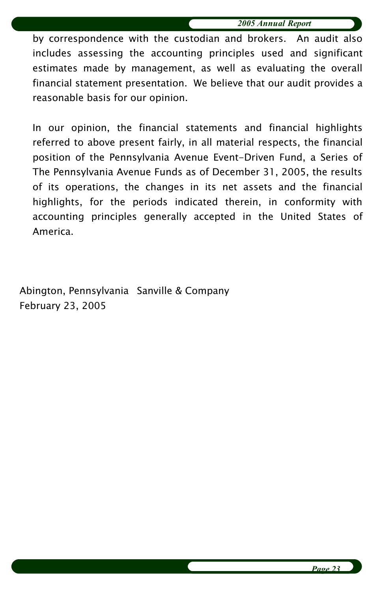*2005 Annual Report*

by correspondence with the custodian and brokers. An audit also includes assessing the accounting principles used and significant estimates made by management, as well as evaluating the overall financial statement presentation. We believe that our audit provides a reasonable basis for our opinion.

In our opinion, the financial statements and financial highlights referred to above present fairly, in all material respects, the financial position of the Pennsylvania Avenue Event-Driven Fund, a Series of The Pennsylvania Avenue Funds as of December 31, 2005, the results of its operations, the changes in its net assets and the financial highlights, for the periods indicated therein, in conformity with accounting principles generally accepted in the United States of America.

Abington, Pennsylvania Sanville & Company February 23, 2005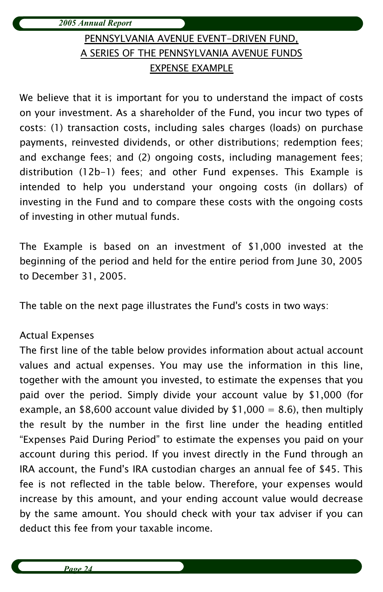## PENNSYLVANIA AVENUE EVENT-DRIVEN FUND, A SERIES OF THE PENNSYLVANIA AVENUE FUNDS EXPENSE EXAMPLE

We believe that it is important for you to understand the impact of costs on your investment. As a shareholder of the Fund, you incur two types of costs: (1) transaction costs, including sales charges (loads) on purchase payments, reinvested dividends, or other distributions; redemption fees; and exchange fees; and (2) ongoing costs, including management fees; distribution (12b-1) fees; and other Fund expenses. This Example is intended to help you understand your ongoing costs (in dollars) of investing in the Fund and to compare these costs with the ongoing costs of investing in other mutual funds.

The Example is based on an investment of \$1,000 invested at the beginning of the period and held for the entire period from June 30, 2005 to December 31, 2005.

The table on the next page illustrates the Fund's costs in two ways:

#### Actual Expenses

The first line of the table below provides information about actual account values and actual expenses. You may use the information in this line, together with the amount you invested, to estimate the expenses that you paid over the period. Simply divide your account value by \$1,000 (for example, an \$8,600 account value divided by \$1,000 = 8.6), then multiply the result by the number in the first line under the heading entitled "Expenses Paid During Period" to estimate the expenses you paid on your account during this period. If you invest directly in the Fund through an IRA account, the Fund's IRA custodian charges an annual fee of \$45. This fee is not reflected in the table below. Therefore, your expenses would increase by this amount, and your ending account value would decrease by the same amount. You should check with your tax adviser if you can deduct this fee from your taxable income.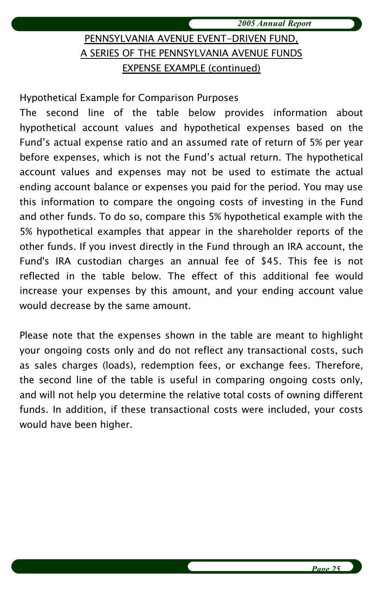*2005 Annual Report*

## PENNSYLVANIA AVENUE EVENT-DRIVEN FUND, A SERIES OF THE PENNSYLVANIA AVENUE FUNDS EXPENSE EXAMPLE (continued)

Hypothetical Example for Comparison Purposes

The second line of the table below provides information about hypothetical account values and hypothetical expenses based on the Fund's actual expense ratio and an assumed rate of return of 5% per year before expenses, which is not the Fund's actual return. The hypothetical account values and expenses may not be used to estimate the actual ending account balance or expenses you paid for the period. You may use this information to compare the ongoing costs of investing in the Fund and other funds. To do so, compare this 5% hypothetical example with the 5% hypothetical examples that appear in the shareholder reports of the other funds. If you invest directly in the Fund through an IRA account, the Fund's IRA custodian charges an annual fee of \$45. This fee is not reflected in the table below. The effect of this additional fee would increase your expenses by this amount, and your ending account value would decrease by the same amount.

Please note that the expenses shown in the table are meant to highlight your ongoing costs only and do not reflect any transactional costs, such as sales charges (loads), redemption fees, or exchange fees. Therefore, the second line of the table is useful in comparing ongoing costs only, and will not help you determine the relative total costs of owning different funds. In addition, if these transactional costs were included, your costs would have been higher.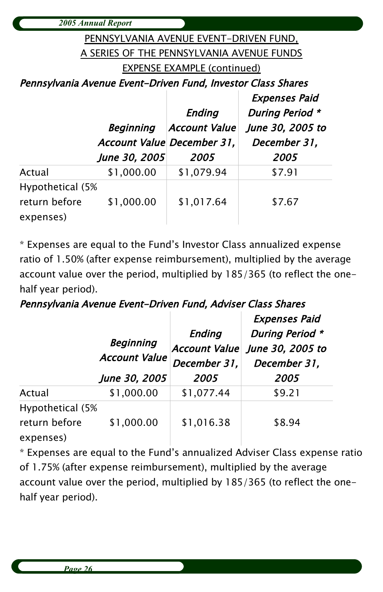|                                                              | <b>2005 Annual Report</b>                 |                      |                        |  |
|--------------------------------------------------------------|-------------------------------------------|----------------------|------------------------|--|
| PENNSYLVANIA AVENUE EVENT-DRIVEN FUND,                       |                                           |                      |                        |  |
|                                                              | A SERIES OF THE PENNSYLVANIA AVENUE FUNDS |                      |                        |  |
|                                                              | <b>EXPENSE EXAMPLE (continued)</b>        |                      |                        |  |
| Pennsylvania Avenue Event-Driven Fund, Investor Class Shares |                                           |                      |                        |  |
|                                                              |                                           |                      | <b>Expenses Paid</b>   |  |
|                                                              |                                           | Ending               | <b>During Period *</b> |  |
|                                                              | <b>Beginning</b>                          | <b>Account Value</b> | June 30, 2005 to       |  |
|                                                              | Account Value December 31,                |                      | December 31,           |  |
|                                                              | <b>June 30, 2005</b>                      | 2005                 | 2005                   |  |
| Actual                                                       | \$1,000.00                                | \$1,079.94           | \$7.91                 |  |
| Hypothetical (5%                                             |                                           |                      |                        |  |
| return before<br>expenses)                                   | \$1,000.00                                | \$1,017.64           | \$7.67                 |  |

\* Expenses are equal to the Fund's Investor Class annualized expense ratio of 1.50% (after expense reimbursement), multiplied by the average account value over the period, multiplied by 185/365 (to reflect the onehalf year period).

### Pennsylvania Avenue Event-Driven Fund, Adviser Class Shares

|                                                | <b>Beginning</b><br><b>Account Value</b> | Ending<br><b>Account Value</b><br>December 31, | <b>Expenses Paid</b><br><b>During Period *</b><br>June 30, 2005 to<br>December 31, |  |
|------------------------------------------------|------------------------------------------|------------------------------------------------|------------------------------------------------------------------------------------|--|
|                                                | June 30, 2005                            | 2005                                           | 2005                                                                               |  |
| Actual                                         | \$1,000.00                               | \$1,077.44                                     | \$9.21                                                                             |  |
| Hypothetical (5%<br>return before<br>expenses) | \$1,000.00                               | \$1,016.38                                     | \$8.94                                                                             |  |

\* Expenses are equal to the Fund's annualized Adviser Class expense ratio of 1.75% (after expense reimbursement), multiplied by the average account value over the period, multiplied by 185/365 (to reflect the onehalf year period).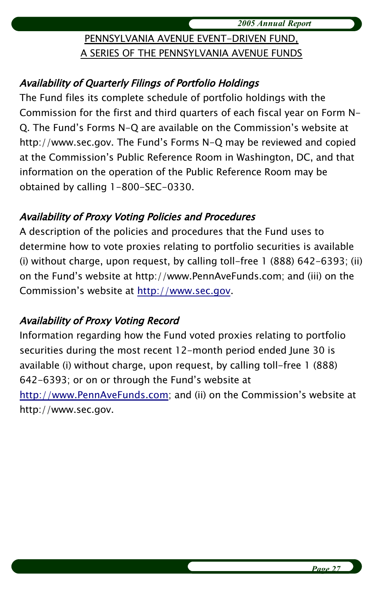## PENNSYLVANIA AVENUE EVENT-DRIVEN FUND, A SERIES OF THE PENNSYLVANIA AVENUE FUNDS

## Availability of Quarterly Filings of Portfolio Holdings

The Fund files its complete schedule of portfolio holdings with the Commission for the first and third quarters of each fiscal year on Form N-Q. The Fund's Forms N-Q are available on the Commission's website at http://www.sec.gov. The Fund's Forms N-Q may be reviewed and copied at the Commission's Public Reference Room in Washington, DC, and that information on the operation of the Public Reference Room may be obtained by calling 1-800-SEC-0330.

### Availability of Proxy Voting Policies and Procedures

A description of the policies and procedures that the Fund uses to determine how to vote proxies relating to portfolio securities is available (i) without charge, upon request, by calling toll-free 1 (888) 642-6393; (ii) on the Fund's website at http://www.PennAveFunds.com; and (iii) on the Commission's website at [http://www.sec.gov](http://www.sec.gov/).

## Availability of Proxy Voting Record

Information regarding how the Fund voted proxies relating to portfolio securities during the most recent 12-month period ended June 30 is available (i) without charge, upon request, by calling toll-free 1 (888) 642-6393; or on or through the Fund's website at [http://www.PennAveFunds.com](http://www.PennAveFunds.com/); and (ii) on the Commission's website at http://www.sec.gov.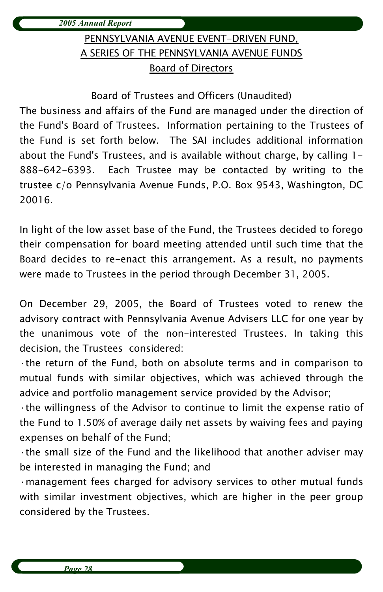## PENNSYLVANIA AVENUE EVENT-DRIVEN FUND, A SERIES OF THE PENNSYLVANIA AVENUE FUNDS Board of Directors

Board of Trustees and Officers (Unaudited)

The business and affairs of the Fund are managed under the direction of the Fund's Board of Trustees. Information pertaining to the Trustees of the Fund is set forth below. The SAI includes additional information about the Fund's Trustees, and is available without charge, by calling 1- 888-642-6393. Each Trustee may be contacted by writing to the trustee c/o Pennsylvania Avenue Funds, P.O. Box 9543, Washington, DC 20016.

In light of the low asset base of the Fund, the Trustees decided to forego their compensation for board meeting attended until such time that the Board decides to re-enact this arrangement. As a result, no payments were made to Trustees in the period through December 31, 2005.

On December 29, 2005, the Board of Trustees voted to renew the advisory contract with Pennsylvania Avenue Advisers LLC for one year by the unanimous vote of the non-interested Trustees. In taking this decision, the Trustees considered:

·the return of the Fund, both on absolute terms and in comparison to mutual funds with similar objectives, which was achieved through the advice and portfolio management service provided by the Advisor;

·the willingness of the Advisor to continue to limit the expense ratio of the Fund to 1.50% of average daily net assets by waiving fees and paying expenses on behalf of the Fund;

·the small size of the Fund and the likelihood that another adviser may be interested in managing the Fund; and

·management fees charged for advisory services to other mutual funds with similar investment objectives, which are higher in the peer group considered by the Trustees.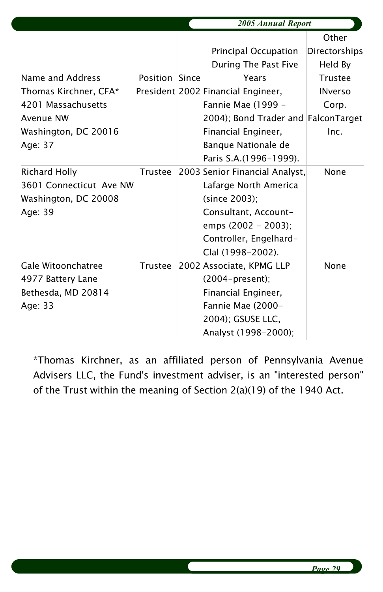|                                                                                                                 |                | 2005 Annual Report |                                                                                                                                                                                                        |                                                                                        |
|-----------------------------------------------------------------------------------------------------------------|----------------|--------------------|--------------------------------------------------------------------------------------------------------------------------------------------------------------------------------------------------------|----------------------------------------------------------------------------------------|
| Name and Address<br>Thomas Kirchner, CFA*<br>4201 Massachusetts<br>Avenue NW<br>Washington, DC 20016<br>Age: 37 | Position       | Since              | Principal Occupation<br>During The Past Five<br>Years<br>President 2002 Financial Engineer,<br>Fannie Mae (1999 -<br>2004); Bond Trader and FalconTarget<br>Financial Engineer,<br>Banque Nationale de | Other<br>Directorships<br>Held By<br><b>Trustee</b><br><b>INverso</b><br>Corp.<br>Inc. |
| Richard Holly<br>3601 Connecticut Ave NW<br>Washington, DC 20008<br>Age: 39                                     | Trustee        |                    | Paris S.A. (1996-1999).<br>2003 Senior Financial Analyst,<br>Lafarge North America<br>(since 2003);<br>Consultant, Account-<br>emps (2002 - 2003);<br>Controller, Engelhard-<br>Clal (1998-2002).      | None                                                                                   |
| Gale Witoonchatree<br>4977 Battery Lane<br>Bethesda, MD 20814<br>Age: 33                                        | <b>Trustee</b> |                    | 2002 Associate, KPMG LLP<br>(2004-present);<br>Financial Engineer,<br>Fannie Mae (2000-<br>2004); GSUSE LLC,<br>Analyst (1998-2000);                                                                   | None                                                                                   |

\*Thomas Kirchner, as an affiliated person of Pennsylvania Avenue Advisers LLC, the Fund's investment adviser, is an "interested person" of the Trust within the meaning of Section 2(a)(19) of the 1940 Act.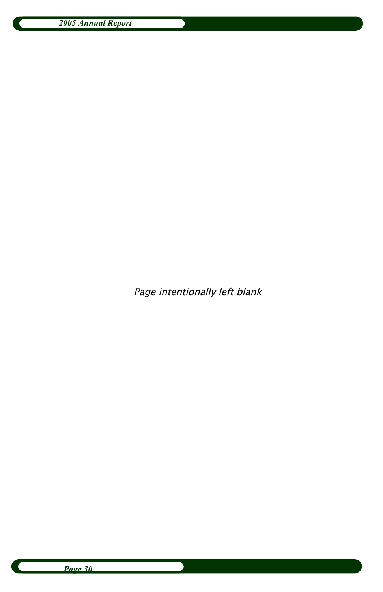Page intentionally left blank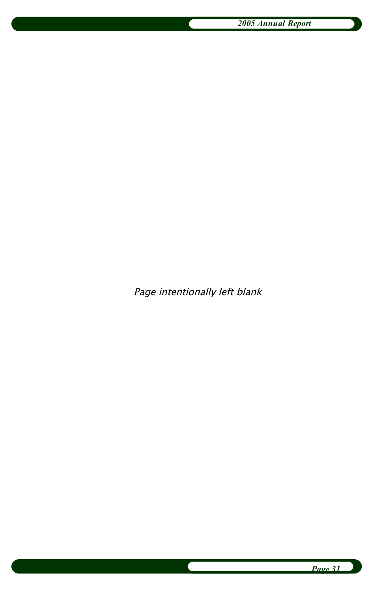Page intentionally left blank